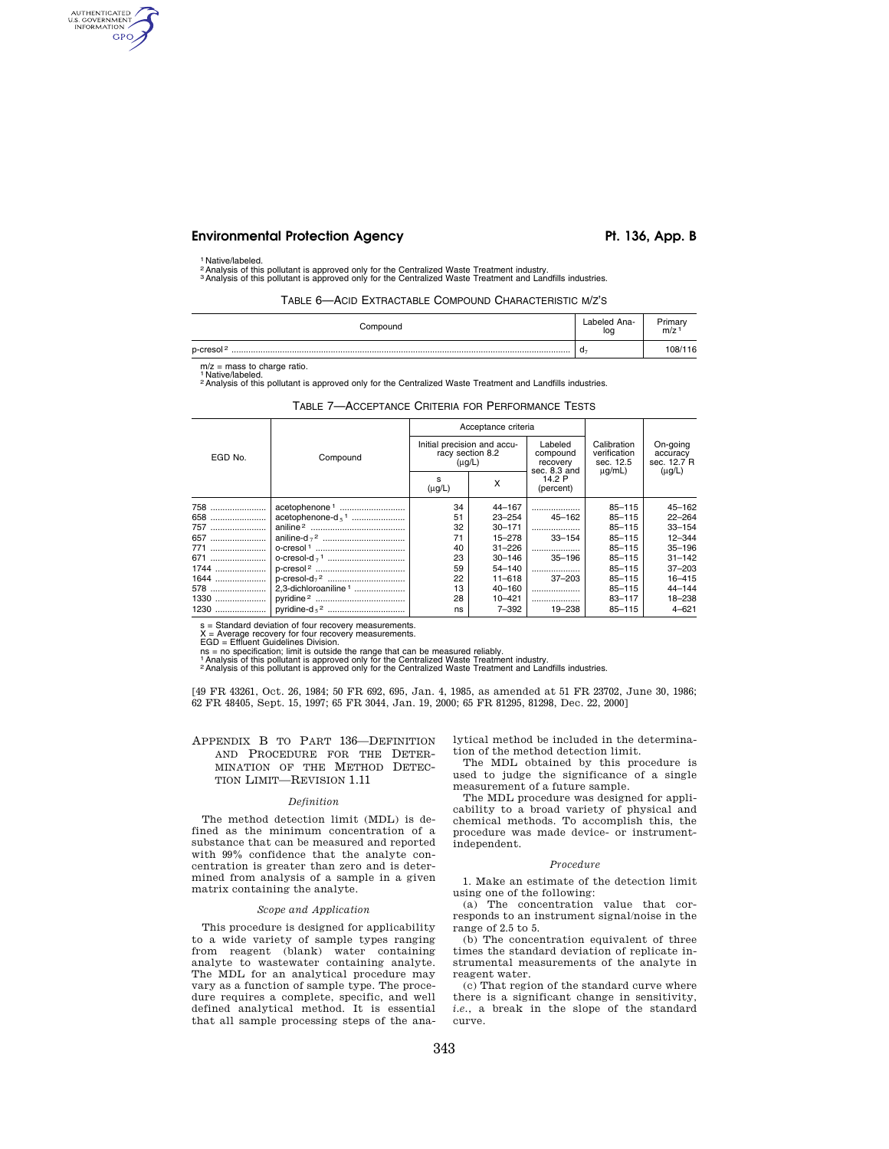# **Environmental Protection Agency**  Pt. 136, App. B

### 1 Native/labeled.

AUTHENTICATED<br>U.S. GOVERNMENT<br>INFORMATION **GPO** 

2Analysis of this pollutant is approved only for the Centralized Waste Treatment industry. 3Analysis of this pollutant is approved only for the Centralized Waste Treatment and Landfills industries.

TABLE 6—ACID EXTRACTABLE COMPOUND CHARACTERISTIC M/Z'S

| Compound              | Labeled Ana-<br>log | Primary<br>m/z |
|-----------------------|---------------------|----------------|
| p-cresol <sup>2</sup> | - u                 | 108/116        |

 $m/z$  = mass to charge ratio. 1 Native/labeled.

2Analysis of this pollutant is approved only for the Centralized Waste Treatment and Landfills industries.

|  |  |  | TABLE 7-ACCEPTANCE CRITERIA FOR PERFORMANCE TESTS |  |
|--|--|--|---------------------------------------------------|--|
|--|--|--|---------------------------------------------------|--|

|         | Compound                         | Acceptance criteria                                            |            |                                                 |                                                         |                                                    |
|---------|----------------------------------|----------------------------------------------------------------|------------|-------------------------------------------------|---------------------------------------------------------|----------------------------------------------------|
| EGD No. |                                  | Initial precision and accu-<br>racy section 8.2<br>$(\mu g/L)$ |            | Labeled<br>compound<br>recovery<br>sec. 8.3 and | Calibration<br>verification<br>sec. 12.5<br>$\mu q/mL)$ | On-going<br>accuracy<br>sec. 12.7 R<br>$(\mu g/L)$ |
|         |                                  | s<br>$(\mu g/L)$                                               | X          | 14.2 P<br>(percent)                             |                                                         |                                                    |
| 758     | acetophenone <sup>1</sup>        | 34                                                             | 44-167     | .                                               | 85-115                                                  | 45-162                                             |
| 658     | acetophenone- $d_5$ <sup>1</sup> | 51                                                             | $23 - 254$ | $45 - 162$                                      | $85 - 115$                                              | $22 - 264$                                         |
| 757     |                                  | 32                                                             | $30 - 171$ |                                                 | 85-115                                                  | $33 - 154$                                         |
| 657     |                                  | 71                                                             | 15-278     | $33 - 154$                                      | $85 - 115$                                              | $12 - 344$                                         |
| 771     |                                  | 40                                                             | $31 - 226$ |                                                 | $85 - 115$                                              | $35 - 196$                                         |
| 671     |                                  | 23                                                             | $30 - 146$ | $35 - 196$                                      | $85 - 115$                                              | $31 - 142$                                         |
| 1744    |                                  | 59                                                             | 54-140     |                                                 | $85 - 115$                                              | $37 - 203$                                         |
| 1644    |                                  | 22                                                             | $11 - 618$ | $37 - 203$                                      | 85-115                                                  | 16-415                                             |
| 578     | 2,3-dichloroaniline <sup>1</sup> | 13                                                             | $40 - 160$ |                                                 | $85 - 115$                                              | $44 - 144$                                         |
| 1330    |                                  | 28                                                             | $10 - 421$ |                                                 | 83-117                                                  | 18-238                                             |
| 1230    |                                  | ns                                                             | $7 - 392$  | 19-238                                          | $85 - 115$                                              | $4 - 621$                                          |

s = Standard deviation of four recovery measurements.

X = Average recovery for four recovery measurements. EGD = Effluent Guidelines Division.

ns = no specification; limit is outside the range that can be measured reliably.<br>† Analysis of this pollutant is approved only for the Centralized Waste Treatment industry.<br><sup>2</sup> Analysis of this pollutant is approved only

[49 FR 43261, Oct. 26, 1984; 50 FR 692, 695, Jan. 4, 1985, as amended at 51 FR 23702, June 30, 1986; 62 FR 48405, Sept. 15, 1997; 65 FR 3044, Jan. 19, 2000; 65 FR 81295, 81298, Dec. 22, 2000]

# APPENDIX B TO PART 136—DEFINITION AND PROCEDURE FOR THE DETER-MINATION OF THE METHOD DETEC-TION LIMIT—REVISION 1.11

### *Definition*

The method detection limit (MDL) is defined as the minimum concentration of a substance that can be measured and reported with 99% confidence that the analyte concentration is greater than zero and is determined from analysis of a sample in a given matrix containing the analyte.

## *Scope and Application*

This procedure is designed for applicability to a wide variety of sample types ranging from reagent (blank) water containing analyte to wastewater containing analyte. The MDL for an analytical procedure may vary as a function of sample type. The procedure requires a complete, specific, and well defined analytical method. It is essential that all sample processing steps of the analytical method be included in the determination of the method detection limit.

The MDL obtained by this procedure is used to judge the significance of a single measurement of a future sample.

The MDL procedure was designed for applicability to a broad variety of physical and chemical methods. To accomplish this, the procedure was made device- or instrumentindependent.

### *Procedure*

1. Make an estimate of the detection limit using one of the following:

(a) The concentration value that corresponds to an instrument signal/noise in the range of 2.5 to 5.

(b) The concentration equivalent of three times the standard deviation of replicate instrumental measurements of the analyte in reagent water.

(c) That region of the standard curve where there is a significant change in sensitivity, *i.e.*, a break in the slope of the standard curve.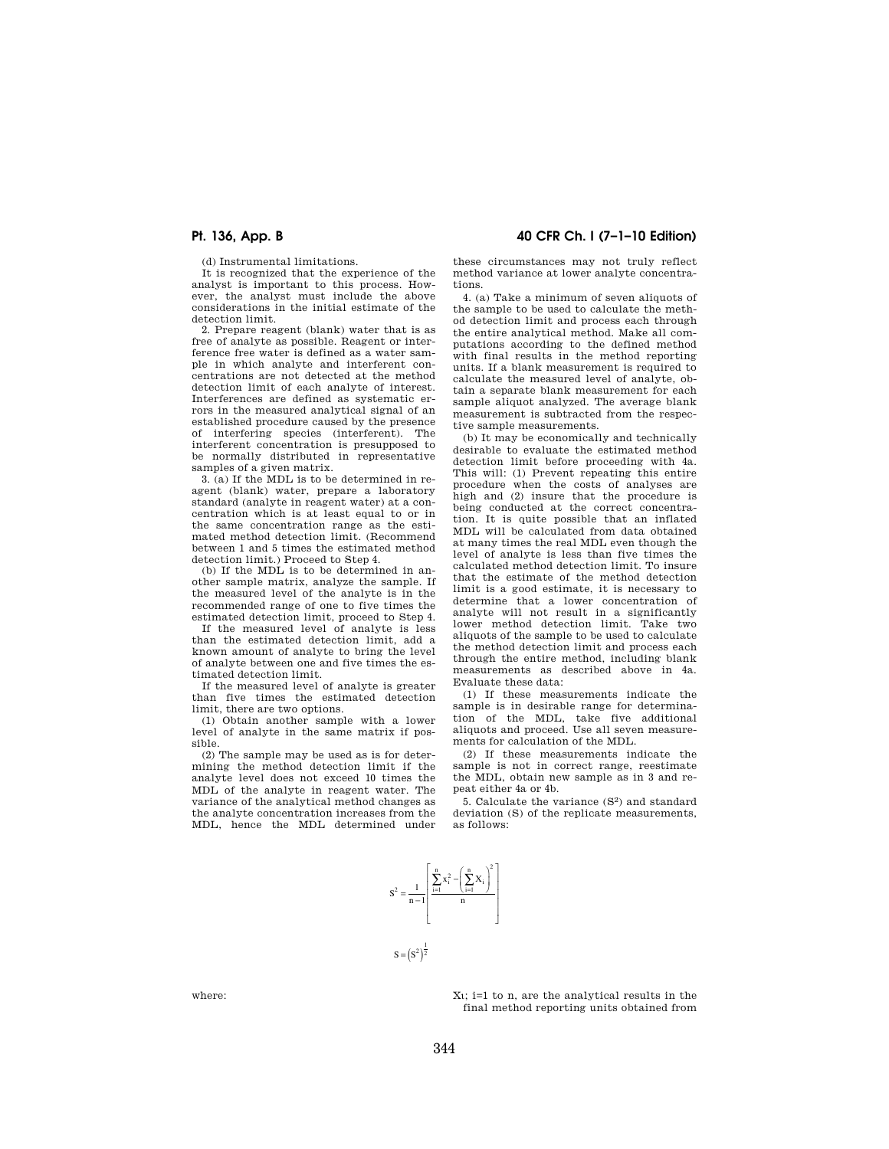(d) Instrumental limitations.

It is recognized that the experience of the analyst is important to this process. However, the analyst must include the above considerations in the initial estimate of the detection limit.

2. Prepare reagent (blank) water that is as free of analyte as possible. Reagent or interference free water is defined as a water sample in which analyte and interferent concentrations are not detected at the method detection limit of each analyte of interest. Interferences are defined as systematic errors in the measured analytical signal of an established procedure caused by the presence of interfering species (interferent). The interferent concentration is presupposed to be normally distributed in representative samples of a given matrix.

3. (a) If the MDL is to be determined in reagent (blank) water, prepare a laboratory standard (analyte in reagent water) at a concentration which is at least equal to or in the same concentration range as the estimated method detection limit. (Recommend between 1 and 5 times the estimated method detection limit.) Proceed to Step 4.

(b) If the MDL is to be determined in another sample matrix, analyze the sample. If the measured level of the analyte is in the recommended range of one to five times the estimated detection limit, proceed to Step 4.

If the measured level of analyte is less than the estimated detection limit, add a known amount of analyte to bring the level of analyte between one and five times the estimated detection limit.

If the measured level of analyte is greater than five times the estimated detection limit, there are two options.

(1) Obtain another sample with a lower level of analyte in the same matrix if possible.

(2) The sample may be used as is for determining the method detection limit if the analyte level does not exceed 10 times the MDL of the analyte in reagent water. The variance of the analytical method changes as the analyte concentration increases from the MDL, hence the MDL determined under

**Pt. 136, App. B 40 CFR Ch. I (7–1–10 Edition)** 

these circumstances may not truly reflect method variance at lower analyte concentrations.

4. (a) Take a minimum of seven aliquots of the sample to be used to calculate the method detection limit and process each through the entire analytical method. Make all computations according to the defined method with final results in the method reporting units. If a blank measurement is required to calculate the measured level of analyte, obtain a separate blank measurement for each sample aliquot analyzed. The average blank measurement is subtracted from the respective sample measurements.

(b) It may be economically and technically desirable to evaluate the estimated method detection limit before proceeding with 4a. This will: (1) Prevent repeating this entire procedure when the costs of analyses are high and (2) insure that the procedure is being conducted at the correct concentration. It is quite possible that an inflated MDL will be calculated from data obtained at many times the real MDL even though the level of analyte is less than five times the calculated method detection limit. To insure that the estimate of the method detection limit is a good estimate, it is necessary to determine that a lower concentration of analyte will not result in a significantly lower method detection limit. Take two aliquots of the sample to be used to calculate the method detection limit and process each through the entire method, including blank measurements as described above in 4a. Evaluate these data:

(1) If these measurements indicate the sample is in desirable range for determination of the MDL, take five additional aliquots and proceed. Use all seven measurements for calculation of the MDL.

(2) If these measurements indicate the sample is not in correct range, reestimate the MDL, obtain new sample as in 3 and repeat either 4a or 4b.

5. Calculate the variance (S<sup>2</sup>) and standard deviation (S) of the replicate measurements, as follows:



where:  $X_i$ ; i=1 to n, are the analytical results in the final method reporting units obtained from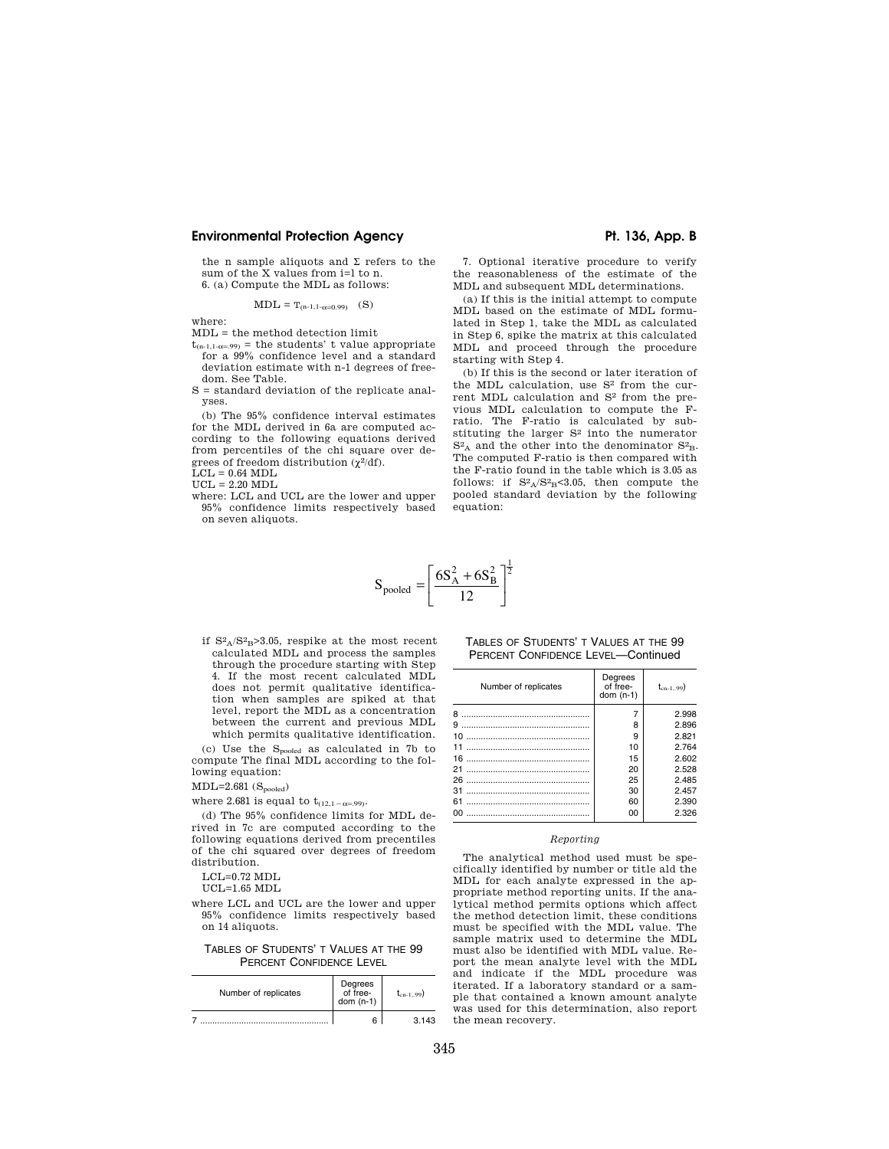# **Environmental Protection Agency**  Pt. 136, App. B

the n sample aliquots and  $\Sigma$  refers to the sum of the X values from i=l to n. 6. (a) Compute the MDL as follows:

$$
MDL = T_{(n-1,1-\alpha=0.99)} \quad (S)
$$

where:

- MDL = the method detection limit
- $t_{(n-1,1-\alpha=.99)}$  = the students' t value appropriate for a 99% confidence level and a standard deviation estimate with n-1 degrees of freedom. See Table.
- S = standard deviation of the replicate analyses.

(b) The 95% confidence interval estimates for the MDL derived in 6a are computed according to the following equations derived from percentiles of the chi square over degrees of freedom distribution  $(\chi^2/df)$ .

 $LCL = 0.64 MDL$ 

 $UCL = 2.20 MDL$ 

where: LCL and UCL are the lower and upper 95% confidence limits respectively based on seven aliquots.

7. Optional iterative procedure to verify the reasonableness of the estimate of the MDL and subsequent MDL determinations.

(a) If this is the initial attempt to compute MDL based on the estimate of MDL formulated in Step 1, take the MDL as calculated in Step 6, spike the matrix at this calculated MDL and proceed through the procedure starting with Step 4.

(b) If this is the second or later iteration of the MDL calculation, use  $S^2$  from the current MDL calculation and S2 from the previous MDL calculation to compute the Fratio. The F-ratio is calculated by substituting the larger S2 into the numerator  $S<sup>2</sup>A$  and the other into the denominator  $S<sup>2</sup>B$ . The computed F-ratio is then compared with the F-ratio found in the table which is 3.05 as follows: if  $S^2A/S^2B S^3.05$ , then compute the pooled standard deviation by the following equation:

$$
S_{pooled} = \left[\frac{6S_A^2 + 6S_B^2}{12}\right]^{\frac{1}{2}}
$$

if  $S^2_A/S^2_B>3.05$ , respike at the most recent calculated MDL and process the samples through the procedure starting with Step 4. If the most recent calculated MDL does not permit qualitative identification when samples are spiked at that level, report the MDL as a concentration between the current and previous MDL which permits qualitative identification.

(c) Use the  $S_{pooled}$  as calculated in 7b to compute The final MDL according to the following equation:

- MDL=2.681  $\rm{(S_{pooled})}$
- where 2.681 is equal to  $t_{(12,1-\alpha=.99)}$ .

(d) The 95% confidence limits for MDL derived in 7c are computed according to the following equations derived from precentiles of the chi squared over degrees of freedom distribution.

LCL=0.72 MDL

UCL=1.65 MDL

where LCL and UCL are the lower and upper 95% confidence limits respectively based on 14 aliquots.

TABLES OF STUDENTS' T VALUES AT THE 99 PERCENT CONFIDENCE LEVEL

| Number of replicates | Degrees<br>of free-<br>dom $(n-1)$ | $t_{cn-199}$ |  |
|----------------------|------------------------------------|--------------|--|
|                      |                                    | 3 143        |  |

## TABLES OF STUDENTS' T VALUES AT THE 99 PERCENT CONFIDENCE LEVEL—Continued

| Number of replicates | Degrees<br>of free-<br>dom $(n-1)$ | $t_{cn-199}$ |
|----------------------|------------------------------------|--------------|
| я                    |                                    | 2.998        |
| 9                    | 8                                  | 2.896        |
| 10                   | 9                                  | 2.821        |
| 11                   | 10                                 | 2.764        |
| 16                   | 15                                 | 2.602        |
|                      | 20                                 | 2.528        |
| 26                   | 25                                 | 2.485        |
| 31                   | 30                                 | 2.457        |
| 61                   | 60                                 | 2.390        |
| nn                   | 00                                 | 2.326        |

# *Reporting*

The analytical method used must be specifically identified by number or title ald the MDL for each analyte expressed in the appropriate method reporting units. If the analytical method permits options which affect the method detection limit, these conditions must be specified with the MDL value. The sample matrix used to determine the MDL must also be identified with MDL value. Report the mean analyte level with the MDL and indicate if the MDL procedure was iterated. If a laboratory standard or a sample that contained a known amount analyte was used for this determination, also report the mean recovery.